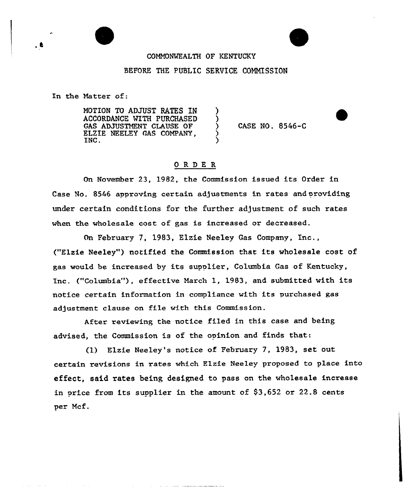# COMMONWEALTH OF KENTUCKY

## BEFORE THE PUBLIC SERVICE COMMISSION

)

)

ز<br>>  $\mathfrak{z}$ 

In the Matter of:

.a

**Contract** 

MOTION TO ADJUST RATES IN ACCORDANCE WITH PURCHASED GAS ADJUSTMENT CLAUSE OF ELZIE NEELEY GAS COMPANY, INC.

CASE NO. 8546-C

# ORDE <sup>R</sup>

On November 23, 1982, the Commission issued its Order in Case No. 8546 approving certain adjustments in rates and providing under certain conditions for the further adjustment of such rates when the wholesale cost of gas is increased or decreased.

On Febxuary 7, 1983, Elzie Neeley Gas Company, Inc., ("Elzie Neeley") notified the Commission that its wholesale cost of gas would be increased by its supplier, Columbia Gas of Kentucky, Inc. ("Columbia"), effective March 1, 1983, and submitted with its notice certain information in compliance with its purchased gas adjustment clause on file with this Commission.

After reviewing the notice filed in this case and being advised, the Commission is of the opinion and finds that:

(1) Elzie Neeley's notice of February 7, 1983, set out certain revisions in rates which Elzie Neeley proposed to place into effect, said rates being designed to pass on the who1esale increase in price from its supplier in the amount of \$3,652 or 22.8 cents per Mcf.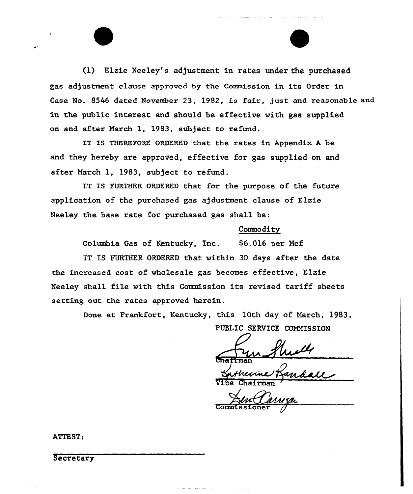(1) Elzie Neeley's adjustment in rates under the purchased gas adjustment clause approved by the Commission in its Order in Case No. 8546 dated November 23, 1982, is fair, just and reasonable and in the public interest and should be effective with gas supplied on and after March 1, 1983, subject to refund.

IT IS THEREFORE ORDERED that the rates in Appendix <sup>A</sup> be and they hereby are approved, effective for gas supplied on and after March 1, 1983, subject to refund.

IT IS FURTHER ORDERED that fox the puxpose of the future application of the purchased gas ajdustment clause of Elzie Neeley the hase rate for purchased gas shall be:

#### Commodity

Columbia Gas of Kentucky, Inc.  $$6.016$  per Mcf

IT IS FURTHER ORDERED that within 30 days after the date the incxeased cost of wholesale gas becomes effective, Elzie Neeley shall file with this Commission its revised tariff sheets setting out the rates approved herein.

Done at Frankfort, Kentucky, this 10th day of March, 1983.

PUBLIC SERVICE COMMISSION

 $G$ tr $\overline{G}$  $F$ man

Vice Chairma

'ommissioner

ATTEST:

Secretary